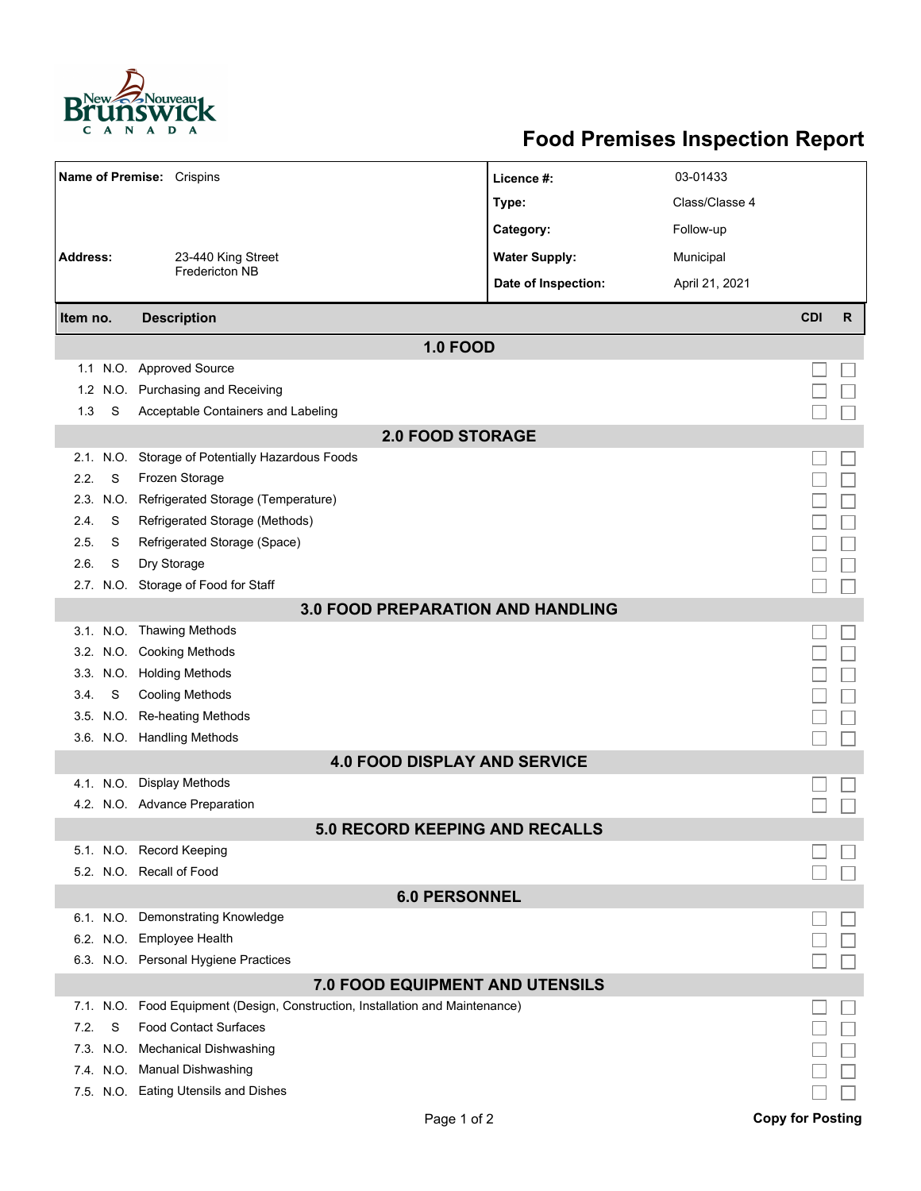

## **Food Premises Inspection Report**

| Name of Premise: Crispins                |           |                                                                               | Licence #:           | 03-01433       |            |    |  |  |  |  |
|------------------------------------------|-----------|-------------------------------------------------------------------------------|----------------------|----------------|------------|----|--|--|--|--|
|                                          |           |                                                                               | Type:                | Class/Classe 4 |            |    |  |  |  |  |
|                                          |           |                                                                               | Category:            | Follow-up      |            |    |  |  |  |  |
| <b>Address:</b>                          |           | 23-440 King Street                                                            | <b>Water Supply:</b> | Municipal      |            |    |  |  |  |  |
|                                          |           | Fredericton NB                                                                |                      |                |            |    |  |  |  |  |
|                                          |           |                                                                               | Date of Inspection:  | April 21, 2021 |            |    |  |  |  |  |
| Item no.                                 |           | <b>Description</b>                                                            |                      |                | <b>CDI</b> | R. |  |  |  |  |
| <b>1.0 FOOD</b>                          |           |                                                                               |                      |                |            |    |  |  |  |  |
|                                          |           | 1.1 N.O. Approved Source                                                      |                      |                |            |    |  |  |  |  |
| 1.2 <sub>1</sub>                         |           | N.O. Purchasing and Receiving                                                 |                      |                |            |    |  |  |  |  |
| 1.3                                      | S         | Acceptable Containers and Labeling                                            |                      |                |            |    |  |  |  |  |
| <b>2.0 FOOD STORAGE</b>                  |           |                                                                               |                      |                |            |    |  |  |  |  |
|                                          |           | 2.1. N.O. Storage of Potentially Hazardous Foods                              |                      |                |            |    |  |  |  |  |
| 2.2.                                     | S         | Frozen Storage                                                                |                      |                |            |    |  |  |  |  |
|                                          | 2.3. N.O. | Refrigerated Storage (Temperature)                                            |                      |                |            |    |  |  |  |  |
| 2.4.                                     | S         | Refrigerated Storage (Methods)                                                |                      |                |            |    |  |  |  |  |
| 2.5.                                     | S         | Refrigerated Storage (Space)                                                  |                      |                |            |    |  |  |  |  |
| 2.6.                                     | S         | Dry Storage                                                                   |                      |                |            |    |  |  |  |  |
|                                          |           | 2.7. N.O. Storage of Food for Staff                                           |                      |                |            |    |  |  |  |  |
| <b>3.0 FOOD PREPARATION AND HANDLING</b> |           |                                                                               |                      |                |            |    |  |  |  |  |
|                                          |           | 3.1. N.O. Thawing Methods                                                     |                      |                |            |    |  |  |  |  |
|                                          |           | 3.2. N.O. Cooking Methods                                                     |                      |                |            |    |  |  |  |  |
|                                          |           | 3.3. N.O. Holding Methods                                                     |                      |                |            |    |  |  |  |  |
| 3.4.                                     | S         | <b>Cooling Methods</b>                                                        |                      |                |            |    |  |  |  |  |
|                                          |           | 3.5. N.O. Re-heating Methods                                                  |                      |                |            |    |  |  |  |  |
|                                          |           | 3.6. N.O. Handling Methods                                                    |                      |                |            |    |  |  |  |  |
|                                          |           | <b>4.0 FOOD DISPLAY AND SERVICE</b>                                           |                      |                |            |    |  |  |  |  |
|                                          |           | 4.1. N.O. Display Methods                                                     |                      |                |            |    |  |  |  |  |
|                                          |           | 4.2. N.O. Advance Preparation                                                 |                      |                |            |    |  |  |  |  |
|                                          |           | <b>5.0 RECORD KEEPING AND RECALLS</b>                                         |                      |                |            |    |  |  |  |  |
|                                          |           | 5.1. N.O. Record Keeping                                                      |                      |                |            |    |  |  |  |  |
|                                          |           | 5.2. N.O. Recall of Food                                                      |                      |                |            |    |  |  |  |  |
| <b>6.0 PERSONNEL</b>                     |           |                                                                               |                      |                |            |    |  |  |  |  |
|                                          |           | 6.1. N.O. Demonstrating Knowledge                                             |                      |                |            |    |  |  |  |  |
|                                          |           | 6.2. N.O. Employee Health                                                     |                      |                |            |    |  |  |  |  |
|                                          |           | 6.3. N.O. Personal Hygiene Practices                                          |                      |                |            |    |  |  |  |  |
| <b>7.0 FOOD EQUIPMENT AND UTENSILS</b>   |           |                                                                               |                      |                |            |    |  |  |  |  |
|                                          |           | 7.1. N.O. Food Equipment (Design, Construction, Installation and Maintenance) |                      |                |            |    |  |  |  |  |
| 7.2.                                     | S         | <b>Food Contact Surfaces</b>                                                  |                      |                |            |    |  |  |  |  |
|                                          | 7.3 N.O.  | Mechanical Dishwashing                                                        |                      |                |            |    |  |  |  |  |
|                                          |           | 7.4. N.O. Manual Dishwashing                                                  |                      |                |            |    |  |  |  |  |
|                                          |           | 7.5. N.O. Eating Utensils and Dishes                                          |                      |                |            |    |  |  |  |  |